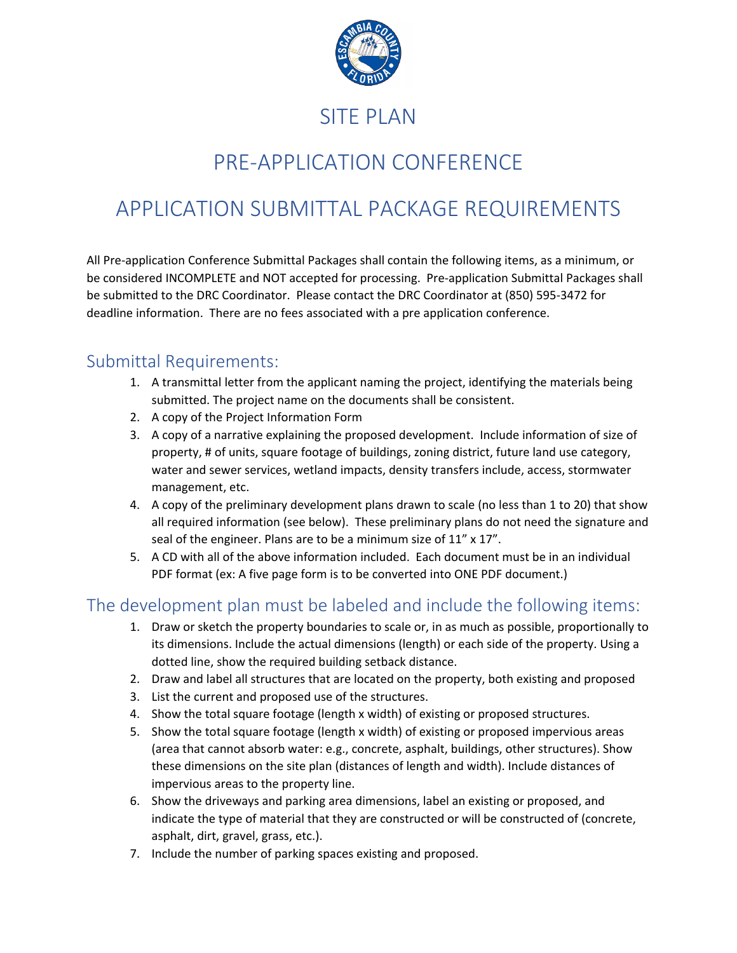

### SITE PLAN

# PRE-APPLICATION CONFERENCE

# APPLICATION SUBMITTAL PACKAGE REQUIREMENTS

All Pre-application Conference Submittal Packages shall contain the following items, as a minimum, or be considered INCOMPLETE and NOT accepted for processing. Pre-application Submittal Packages shall be submitted to the DRC Coordinator. Please contact the DRC Coordinator at (850) 595-3472 for deadline information. There are no fees associated with a pre application conference.

#### Submittal Requirements:

- 1. A transmittal letter from the applicant naming the project, identifying the materials being submitted. The project name on the documents shall be consistent.
- 2. A copy of the Project Information Form
- 3. A copy of a narrative explaining the proposed development. Include information of size of property, # of units, square footage of buildings, zoning district, future land use category, water and sewer services, wetland impacts, density transfers include, access, stormwater management, etc.
- 4. A copy of the preliminary development plans drawn to scale (no less than 1 to 20) that show all required information (see below). These preliminary plans do not need the signature and seal of the engineer. Plans are to be a minimum size of 11" x 17".
- 5. A CD with all of the above information included. Each document must be in an individual PDF format (ex: A five page form is to be converted into ONE PDF document.)

#### The development plan must be labeled and include the following items:

- 1. Draw or sketch the property boundaries to scale or, in as much as possible, proportionally to its dimensions. Include the actual dimensions (length) or each side of the property. Using a dotted line, show the required building setback distance.
- 2. Draw and label all structures that are located on the property, both existing and proposed
- 3. List the current and proposed use of the structures.
- 4. Show the total square footage (length x width) of existing or proposed structures.
- 5. Show the total square footage (length x width) of existing or proposed impervious areas (area that cannot absorb water: e.g., concrete, asphalt, buildings, other structures). Show these dimensions on the site plan (distances of length and width). Include distances of impervious areas to the property line.
- 6. Show the driveways and parking area dimensions, label an existing or proposed, and indicate the type of material that they are constructed or will be constructed of (concrete, asphalt, dirt, gravel, grass, etc.).
- 7. Include the number of parking spaces existing and proposed.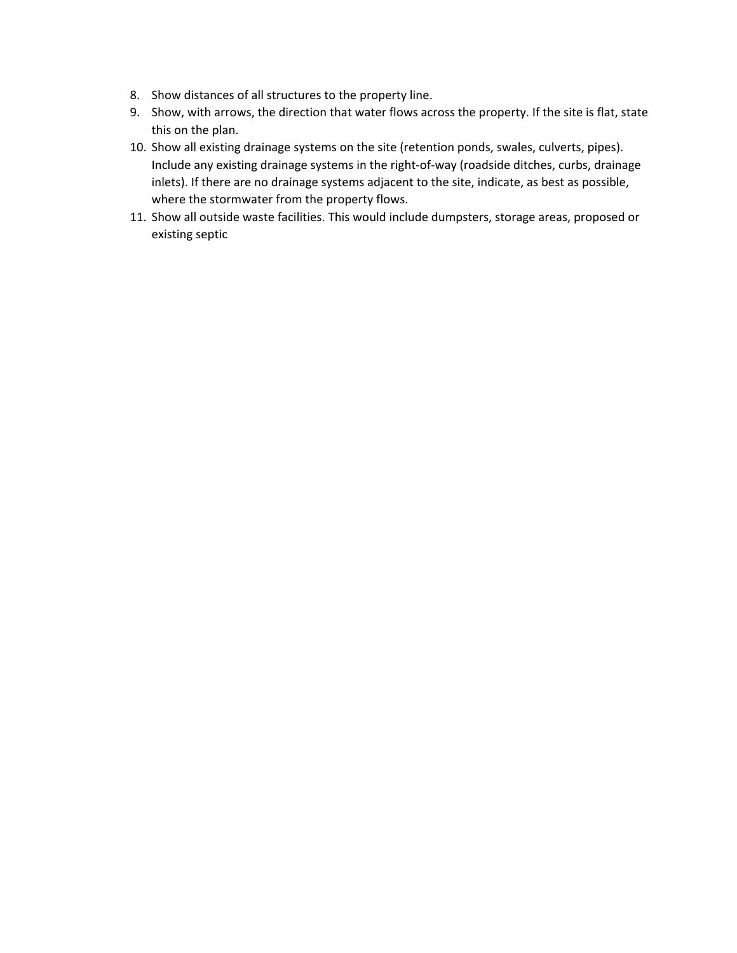- 8. Show distances of all structures to the property line.
- 9. Show, with arrows, the direction that water flows across the property. If the site is flat, state this on the plan.
- 10. Show all existing drainage systems on the site (retention ponds, swales, culverts, pipes). Include any existing drainage systems in the right-of-way (roadside ditches, curbs, drainage inlets). If there are no drainage systems adjacent to the site, indicate, as best as possible, where the stormwater from the property flows.
- 11. Show all outside waste facilities. This would include dumpsters, storage areas, proposed or existing septic